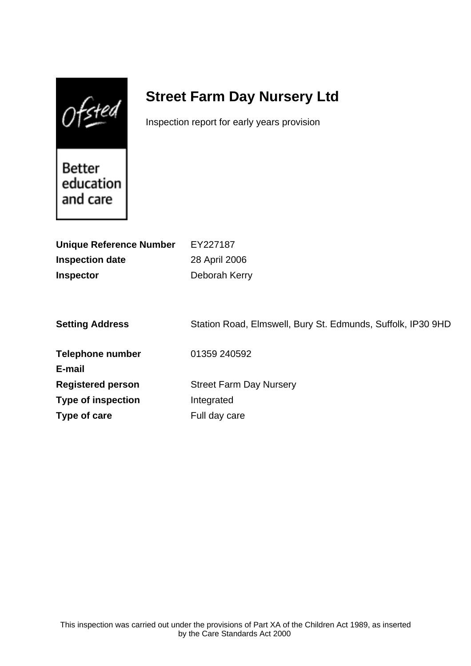$0$ fsted

# **Street Farm Day Nursery Ltd**

Inspection report for early years provision

Better education and care

| <b>Unique Reference Number</b><br><b>Inspection date</b><br><b>Inspector</b> | EY227187<br>28 April 2006<br>Deborah Kerry                  |
|------------------------------------------------------------------------------|-------------------------------------------------------------|
| <b>Setting Address</b>                                                       | Station Road, Elmswell, Bury St. Edmunds, Suffolk, IP30 9HD |
| <b>Telephone number</b><br>E-mail                                            | 01359 240592                                                |
| <b>Registered person</b>                                                     | <b>Street Farm Day Nursery</b>                              |
| <b>Type of inspection</b>                                                    | Integrated                                                  |
| Type of care                                                                 | Full day care                                               |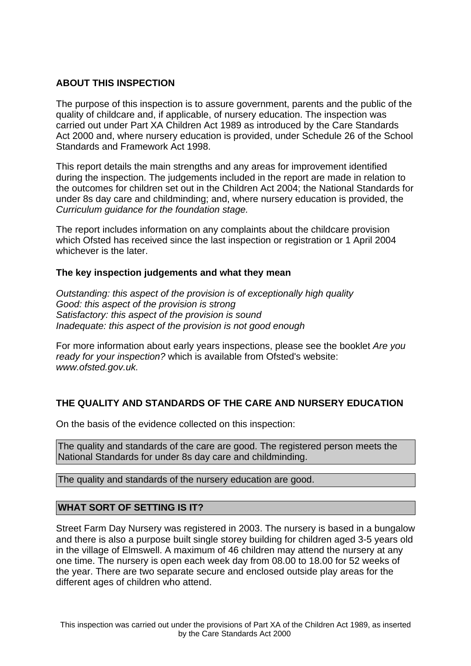# **ABOUT THIS INSPECTION**

The purpose of this inspection is to assure government, parents and the public of the quality of childcare and, if applicable, of nursery education. The inspection was carried out under Part XA Children Act 1989 as introduced by the Care Standards Act 2000 and, where nursery education is provided, under Schedule 26 of the School Standards and Framework Act 1998.

This report details the main strengths and any areas for improvement identified during the inspection. The judgements included in the report are made in relation to the outcomes for children set out in the Children Act 2004; the National Standards for under 8s day care and childminding; and, where nursery education is provided, the Curriculum guidance for the foundation stage.

The report includes information on any complaints about the childcare provision which Ofsted has received since the last inspection or registration or 1 April 2004 whichever is the later.

## **The key inspection judgements and what they mean**

Outstanding: this aspect of the provision is of exceptionally high quality Good: this aspect of the provision is strong Satisfactory: this aspect of the provision is sound Inadequate: this aspect of the provision is not good enough

For more information about early years inspections, please see the booklet Are you ready for your inspection? which is available from Ofsted's website: www.ofsted.gov.uk.

# **THE QUALITY AND STANDARDS OF THE CARE AND NURSERY EDUCATION**

On the basis of the evidence collected on this inspection:

The quality and standards of the care are good. The registered person meets the National Standards for under 8s day care and childminding.

The quality and standards of the nursery education are good.

## **WHAT SORT OF SETTING IS IT?**

Street Farm Day Nursery was registered in 2003. The nursery is based in a bungalow and there is also a purpose built single storey building for children aged 3-5 years old in the village of Elmswell. A maximum of 46 children may attend the nursery at any one time. The nursery is open each week day from 08.00 to 18.00 for 52 weeks of the year. There are two separate secure and enclosed outside play areas for the different ages of children who attend.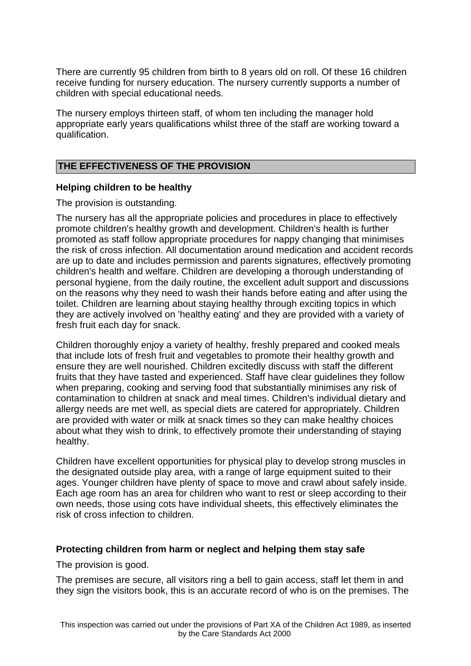There are currently 95 children from birth to 8 years old on roll. Of these 16 children receive funding for nursery education. The nursery currently supports a number of children with special educational needs.

The nursery employs thirteen staff, of whom ten including the manager hold appropriate early years qualifications whilst three of the staff are working toward a qualification.

#### **THE EFFECTIVENESS OF THE PROVISION**

#### **Helping children to be healthy**

The provision is outstanding.

The nursery has all the appropriate policies and procedures in place to effectively promote children's healthy growth and development. Children's health is further promoted as staff follow appropriate procedures for nappy changing that minimises the risk of cross infection. All documentation around medication and accident records are up to date and includes permission and parents signatures, effectively promoting children's health and welfare. Children are developing a thorough understanding of personal hygiene, from the daily routine, the excellent adult support and discussions on the reasons why they need to wash their hands before eating and after using the toilet. Children are learning about staying healthy through exciting topics in which they are actively involved on 'healthy eating' and they are provided with a variety of fresh fruit each day for snack.

Children thoroughly enjoy a variety of healthy, freshly prepared and cooked meals that include lots of fresh fruit and vegetables to promote their healthy growth and ensure they are well nourished. Children excitedly discuss with staff the different fruits that they have tasted and experienced. Staff have clear guidelines they follow when preparing, cooking and serving food that substantially minimises any risk of contamination to children at snack and meal times. Children's individual dietary and allergy needs are met well, as special diets are catered for appropriately. Children are provided with water or milk at snack times so they can make healthy choices about what they wish to drink, to effectively promote their understanding of staying healthy.

Children have excellent opportunities for physical play to develop strong muscles in the designated outside play area, with a range of large equipment suited to their ages. Younger children have plenty of space to move and crawl about safely inside. Each age room has an area for children who want to rest or sleep according to their own needs, those using cots have individual sheets, this effectively eliminates the risk of cross infection to children.

## **Protecting children from harm or neglect and helping them stay safe**

The provision is good.

The premises are secure, all visitors ring a bell to gain access, staff let them in and they sign the visitors book, this is an accurate record of who is on the premises. The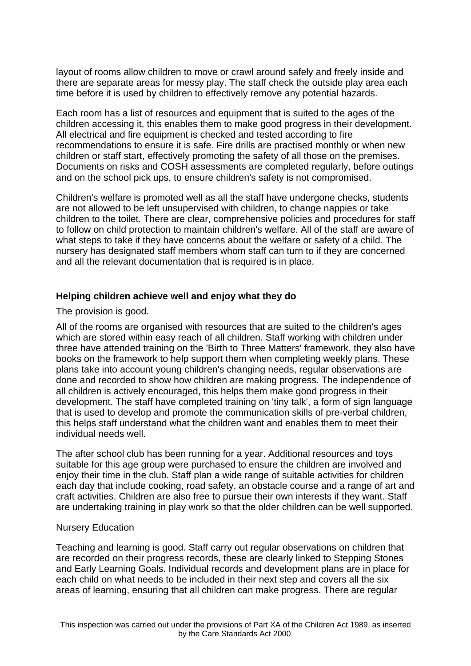layout of rooms allow children to move or crawl around safely and freely inside and there are separate areas for messy play. The staff check the outside play area each time before it is used by children to effectively remove any potential hazards.

Each room has a list of resources and equipment that is suited to the ages of the children accessing it, this enables them to make good progress in their development. All electrical and fire equipment is checked and tested according to fire recommendations to ensure it is safe. Fire drills are practised monthly or when new children or staff start, effectively promoting the safety of all those on the premises. Documents on risks and COSH assessments are completed regularly, before outings and on the school pick ups, to ensure children's safety is not compromised.

Children's welfare is promoted well as all the staff have undergone checks, students are not allowed to be left unsupervised with children, to change nappies or take children to the toilet. There are clear, comprehensive policies and procedures for staff to follow on child protection to maintain children's welfare. All of the staff are aware of what steps to take if they have concerns about the welfare or safety of a child. The nursery has designated staff members whom staff can turn to if they are concerned and all the relevant documentation that is required is in place.

#### **Helping children achieve well and enjoy what they do**

The provision is good.

All of the rooms are organised with resources that are suited to the children's ages which are stored within easy reach of all children. Staff working with children under three have attended training on the 'Birth to Three Matters' framework, they also have books on the framework to help support them when completing weekly plans. These plans take into account young children's changing needs, regular observations are done and recorded to show how children are making progress. The independence of all children is actively encouraged, this helps them make good progress in their development. The staff have completed training on 'tiny talk', a form of sign language that is used to develop and promote the communication skills of pre-verbal children, this helps staff understand what the children want and enables them to meet their individual needs well.

The after school club has been running for a year. Additional resources and toys suitable for this age group were purchased to ensure the children are involved and enjoy their time in the club. Staff plan a wide range of suitable activities for children each day that include cooking, road safety, an obstacle course and a range of art and craft activities. Children are also free to pursue their own interests if they want. Staff are undertaking training in play work so that the older children can be well supported.

#### Nursery Education

Teaching and learning is good. Staff carry out regular observations on children that are recorded on their progress records, these are clearly linked to Stepping Stones and Early Learning Goals. Individual records and development plans are in place for each child on what needs to be included in their next step and covers all the six areas of learning, ensuring that all children can make progress. There are regular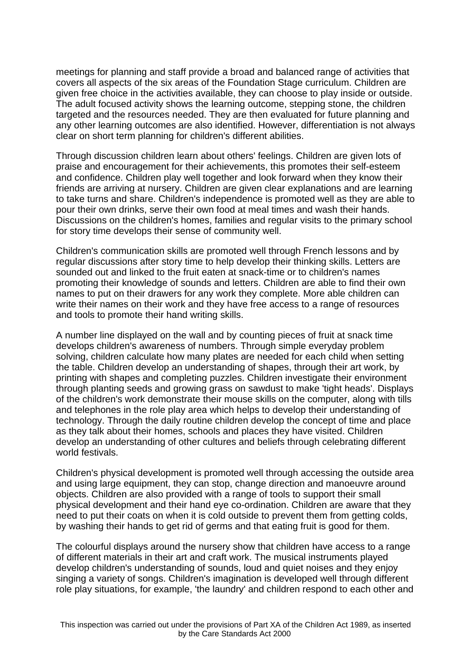meetings for planning and staff provide a broad and balanced range of activities that covers all aspects of the six areas of the Foundation Stage curriculum. Children are given free choice in the activities available, they can choose to play inside or outside. The adult focused activity shows the learning outcome, stepping stone, the children targeted and the resources needed. They are then evaluated for future planning and any other learning outcomes are also identified. However, differentiation is not always clear on short term planning for children's different abilities.

Through discussion children learn about others' feelings. Children are given lots of praise and encouragement for their achievements, this promotes their self-esteem and confidence. Children play well together and look forward when they know their friends are arriving at nursery. Children are given clear explanations and are learning to take turns and share. Children's independence is promoted well as they are able to pour their own drinks, serve their own food at meal times and wash their hands. Discussions on the children's homes, families and regular visits to the primary school for story time develops their sense of community well.

Children's communication skills are promoted well through French lessons and by regular discussions after story time to help develop their thinking skills. Letters are sounded out and linked to the fruit eaten at snack-time or to children's names promoting their knowledge of sounds and letters. Children are able to find their own names to put on their drawers for any work they complete. More able children can write their names on their work and they have free access to a range of resources and tools to promote their hand writing skills.

A number line displayed on the wall and by counting pieces of fruit at snack time develops children's awareness of numbers. Through simple everyday problem solving, children calculate how many plates are needed for each child when setting the table. Children develop an understanding of shapes, through their art work, by printing with shapes and completing puzzles. Children investigate their environment through planting seeds and growing grass on sawdust to make 'tight heads'. Displays of the children's work demonstrate their mouse skills on the computer, along with tills and telephones in the role play area which helps to develop their understanding of technology. Through the daily routine children develop the concept of time and place as they talk about their homes, schools and places they have visited. Children develop an understanding of other cultures and beliefs through celebrating different world festivals.

Children's physical development is promoted well through accessing the outside area and using large equipment, they can stop, change direction and manoeuvre around objects. Children are also provided with a range of tools to support their small physical development and their hand eye co-ordination. Children are aware that they need to put their coats on when it is cold outside to prevent them from getting colds, by washing their hands to get rid of germs and that eating fruit is good for them.

The colourful displays around the nursery show that children have access to a range of different materials in their art and craft work. The musical instruments played develop children's understanding of sounds, loud and quiet noises and they enjoy singing a variety of songs. Children's imagination is developed well through different role play situations, for example, 'the laundry' and children respond to each other and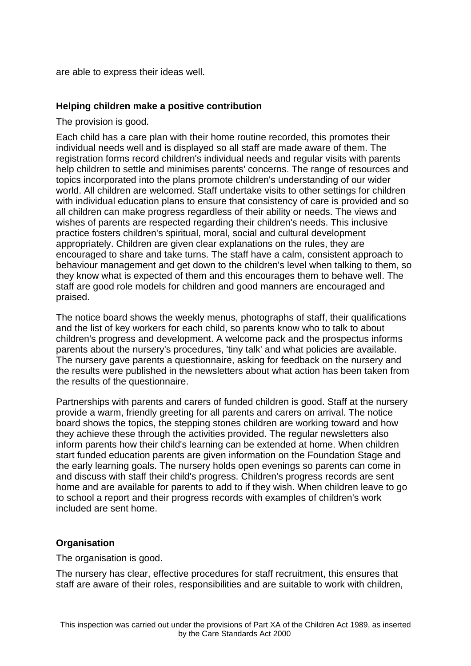are able to express their ideas well.

## **Helping children make a positive contribution**

The provision is good.

Each child has a care plan with their home routine recorded, this promotes their individual needs well and is displayed so all staff are made aware of them. The registration forms record children's individual needs and regular visits with parents help children to settle and minimises parents' concerns. The range of resources and topics incorporated into the plans promote children's understanding of our wider world. All children are welcomed. Staff undertake visits to other settings for children with individual education plans to ensure that consistency of care is provided and so all children can make progress regardless of their ability or needs. The views and wishes of parents are respected regarding their children's needs. This inclusive practice fosters children's spiritual, moral, social and cultural development appropriately. Children are given clear explanations on the rules, they are encouraged to share and take turns. The staff have a calm, consistent approach to behaviour management and get down to the children's level when talking to them, so they know what is expected of them and this encourages them to behave well. The staff are good role models for children and good manners are encouraged and praised.

The notice board shows the weekly menus, photographs of staff, their qualifications and the list of key workers for each child, so parents know who to talk to about children's progress and development. A welcome pack and the prospectus informs parents about the nursery's procedures, 'tiny talk' and what policies are available. The nursery gave parents a questionnaire, asking for feedback on the nursery and the results were published in the newsletters about what action has been taken from the results of the questionnaire.

Partnerships with parents and carers of funded children is good. Staff at the nursery provide a warm, friendly greeting for all parents and carers on arrival. The notice board shows the topics, the stepping stones children are working toward and how they achieve these through the activities provided. The regular newsletters also inform parents how their child's learning can be extended at home. When children start funded education parents are given information on the Foundation Stage and the early learning goals. The nursery holds open evenings so parents can come in and discuss with staff their child's progress. Children's progress records are sent home and are available for parents to add to if they wish. When children leave to go to school a report and their progress records with examples of children's work included are sent home.

## **Organisation**

The organisation is good.

The nursery has clear, effective procedures for staff recruitment, this ensures that staff are aware of their roles, responsibilities and are suitable to work with children,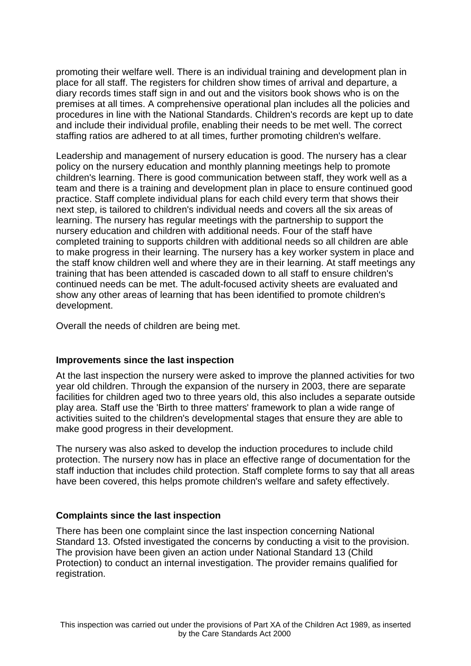promoting their welfare well. There is an individual training and development plan in place for all staff. The registers for children show times of arrival and departure, a diary records times staff sign in and out and the visitors book shows who is on the premises at all times. A comprehensive operational plan includes all the policies and procedures in line with the National Standards. Children's records are kept up to date and include their individual profile, enabling their needs to be met well. The correct staffing ratios are adhered to at all times, further promoting children's welfare.

Leadership and management of nursery education is good. The nursery has a clear policy on the nursery education and monthly planning meetings help to promote children's learning. There is good communication between staff, they work well as a team and there is a training and development plan in place to ensure continued good practice. Staff complete individual plans for each child every term that shows their next step, is tailored to children's individual needs and covers all the six areas of learning. The nursery has regular meetings with the partnership to support the nursery education and children with additional needs. Four of the staff have completed training to supports children with additional needs so all children are able to make progress in their learning. The nursery has a key worker system in place and the staff know children well and where they are in their learning. At staff meetings any training that has been attended is cascaded down to all staff to ensure children's continued needs can be met. The adult-focused activity sheets are evaluated and show any other areas of learning that has been identified to promote children's development.

Overall the needs of children are being met.

#### **Improvements since the last inspection**

At the last inspection the nursery were asked to improve the planned activities for two year old children. Through the expansion of the nursery in 2003, there are separate facilities for children aged two to three years old, this also includes a separate outside play area. Staff use the 'Birth to three matters' framework to plan a wide range of activities suited to the children's developmental stages that ensure they are able to make good progress in their development.

The nursery was also asked to develop the induction procedures to include child protection. The nursery now has in place an effective range of documentation for the staff induction that includes child protection. Staff complete forms to say that all areas have been covered, this helps promote children's welfare and safety effectively.

## **Complaints since the last inspection**

There has been one complaint since the last inspection concerning National Standard 13. Ofsted investigated the concerns by conducting a visit to the provision. The provision have been given an action under National Standard 13 (Child Protection) to conduct an internal investigation. The provider remains qualified for registration.